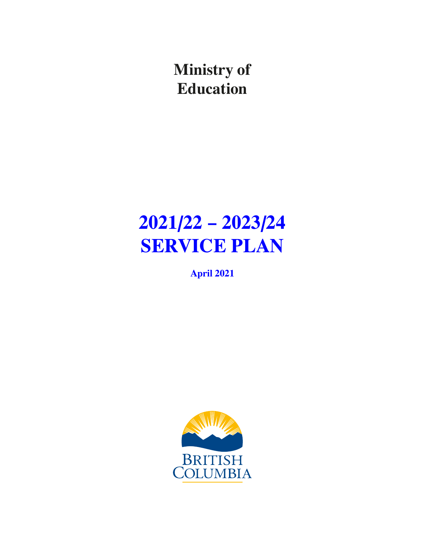**Ministry of Education**

# **2021/22 – 2023/24 SERVICE PLAN**

**April 2021**

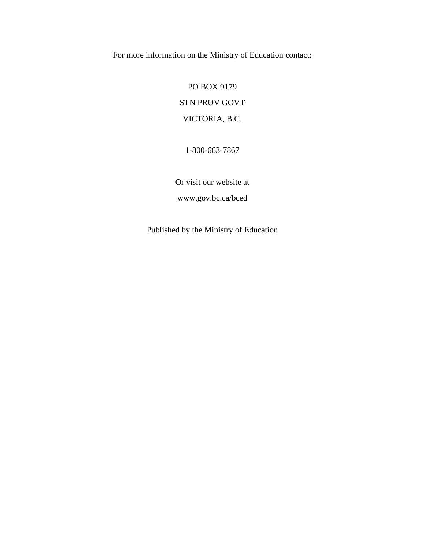For more information on the Ministry of Education contact:

PO BOX 9179 STN PROV GOVT VICTORIA, B.C.

1-800-663-7867

Or visit our website at

[www.gov.bc.ca/bced](https://www2.gov.bc.ca/gov/content/governments/organizational-structure/ministries-organizations/ministries/education) 

Published by the Ministry of Education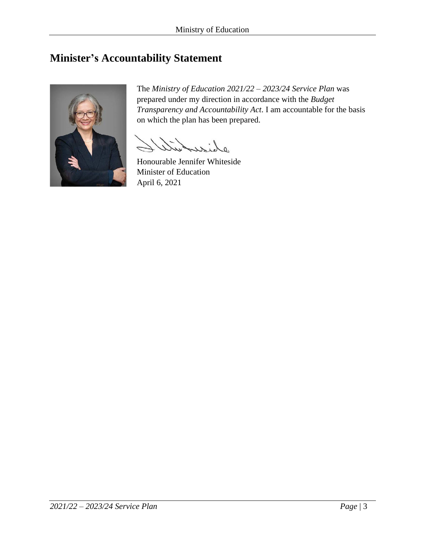# <span id="page-2-0"></span>**Minister's Accountability Statement**



The *Ministry of Education 2021/22 – 2023/24 Service Plan* was prepared under my direction in accordance with the *Budget Transparency and Accountability Act*. I am accountable for the basis on which the plan has been prepared.

 $\overline{a}$  $\cdot$ 

Honourable Jennifer Whiteside Minister of Education April 6, 2021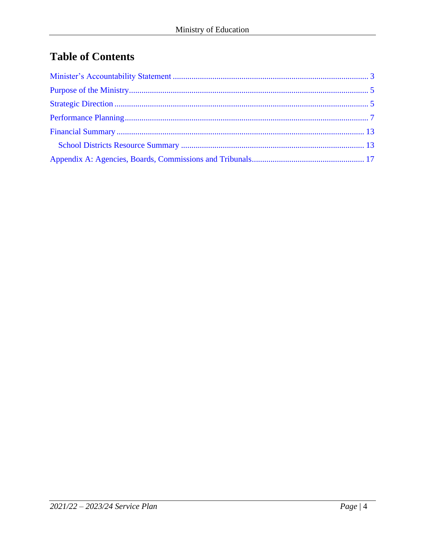# **Table of Contents**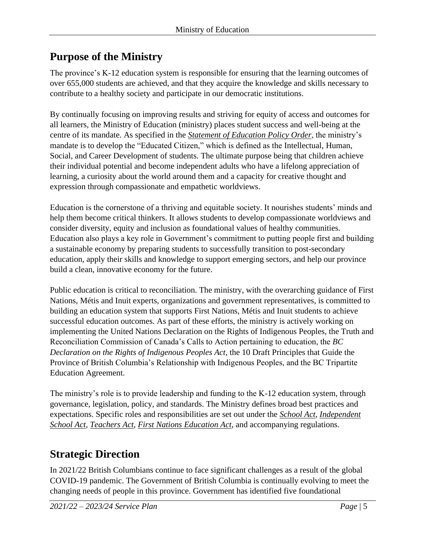# <span id="page-4-0"></span>**Purpose of the Ministry**

The province's K-12 education system is responsible for ensuring that the learning outcomes of over 655,000 students are achieved, and that they acquire the knowledge and skills necessary to contribute to a healthy society and participate in our democratic institutions.

By continually focusing on improving results and striving for equity of access and outcomes for all learners, the Ministry of Education (ministry) places student success and well-being at the centre of its mandate. As specified in the *[Statement of Education Policy Order](https://www2.gov.bc.ca/assets/gov/education/administration/legislation-policy/legislation/schoollaw/d/oic_128089.pdf)*, the ministry's mandate is to develop the "Educated Citizen," which is defined as the Intellectual, Human, Social, and Career Development of students. The ultimate purpose being that children achieve their individual potential and become independent adults who have a lifelong appreciation of learning, a curiosity about the world around them and a capacity for creative thought and expression through compassionate and empathetic worldviews.

Education is the cornerstone of a thriving and equitable society. It nourishes students' minds and help them become critical thinkers. It allows students to develop compassionate worldviews and consider diversity, equity and inclusion as foundational values of healthy communities. Education also plays a key role in Government's commitment to putting people first and building a sustainable economy by preparing students to successfully transition to post-secondary education, apply their skills and knowledge to support emerging sectors, and help our province build a clean, innovative economy for the future.

Public education is critical to reconciliation. The ministry, with the overarching guidance of First Nations, Métis and Inuit experts, organizations and government representatives, is committed to building an education system that supports First Nations, Métis and Inuit students to achieve successful education outcomes. As part of these efforts, the ministry is actively working on implementing the United Nations Declaration on the Rights of Indigenous Peoples, the Truth and Reconciliation Commission of Canada's Calls to Action pertaining to education, the *BC Declaration on the Rights of Indigenous Peoples Act*, the 10 Draft Principles that Guide the Province of British Columbia's Relationship with Indigenous Peoples, and the BC Tripartite Education Agreement.

The ministry's role is to provide leadership and funding to the K-12 education system, through governance, legislation, policy, and standards. The Ministry defines broad best practices and expectations. Specific roles and responsibilities are set out under the *[School Act](http://www.bclaws.ca/civix/document/id/complete/statreg/96412_00)*, *[Independent](http://www.bclaws.ca/civix/document/id/complete/statreg/96216_01)  [School Act](http://www.bclaws.ca/civix/document/id/complete/statreg/96216_01)*, *[Teachers Act](http://www.bclaws.ca/EPLibraries/bclaws_new/document/ID/freeside/00_11019_01)*, *[First Nations Education Act](http://www.bclaws.ca/Recon/document/ID/freeside/00_07040_01)*, and accompanying regulations.

# **Strategic Direction**

In 2021/22 British Columbians continue to face significant challenges as a result of the global COVID-19 pandemic. The Government of British Columbia is continually evolving to meet the changing needs of people in this province. Government has identified five foundational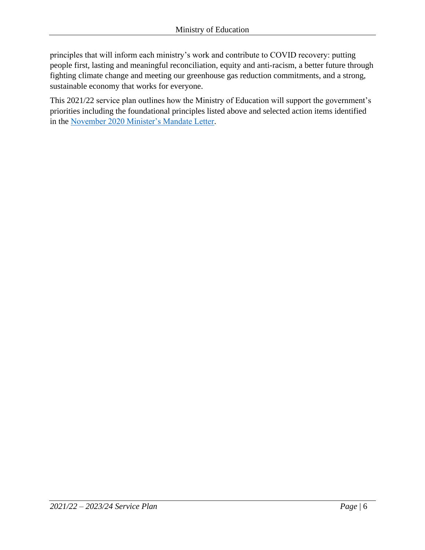principles that will inform each ministry's work and contribute to COVID recovery: putting people first, lasting and meaningful reconciliation, equity and anti-racism, a better future through fighting climate change and meeting our greenhouse gas reduction commitments, and a strong, sustainable economy that works for everyone.

This 2021/22 service plan outlines how the Ministry of Education will support the government's priorities including the foundational principles listed above and selected action items identified in the [November 2020 Minister's Mandate Letter.](https://news.gov.bc.ca/files/EDUC-Whiteside-mandate.pdf)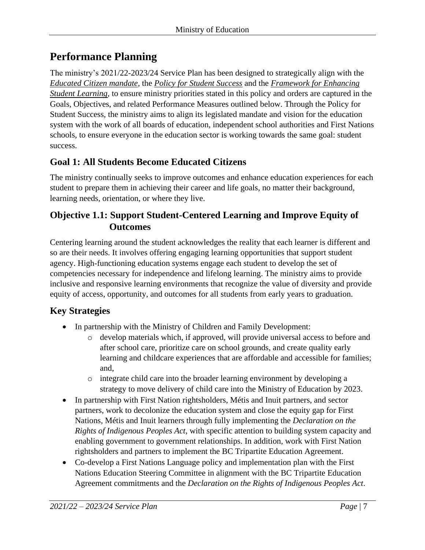# <span id="page-6-0"></span>**Performance Planning**

The ministry's 2021/22-2023/24 Service Plan has been designed to strategically align with the *[Educated Citizen mandate](https://www2.gov.bc.ca/assets/gov/education/administration/legislation-policy/legislation/schoollaw/d/oic_128089.pdf)*, the *[Policy for Student Success](https://www2.gov.bc.ca/gov/content/education-training/k-12/administration/program-management/vision-for-student-success)* and the *[Framework for Enhancing](https://www2.gov.bc.ca/assets/gov/education/administration/legislation-policy/legislation/schoollaw/e/m302-20.pdf)  [Student Learning](https://www2.gov.bc.ca/assets/gov/education/administration/legislation-policy/legislation/schoollaw/e/m302-20.pdf)*, to ensure ministry priorities stated in this policy and orders are captured in the Goals, Objectives, and related Performance Measures outlined below. Through the Policy for Student Success, the ministry aims to align its legislated mandate and vision for the education system with the work of all boards of education, independent school authorities and First Nations schools, to ensure everyone in the education sector is working towards the same goal: student success.

# **Goal 1: All Students Become Educated Citizens**

The ministry continually seeks to improve outcomes and enhance education experiences for each student to prepare them in achieving their career and life goals, no matter their background, learning needs, orientation, or where they live.

## **Objective 1.1: Support Student-Centered Learning and Improve Equity of Outcomes**

Centering learning around the student acknowledges the reality that each learner is different and so are their needs. It involves offering engaging learning opportunities that support student agency. High-functioning education systems engage each student to develop the set of competencies necessary for independence and lifelong learning. The ministry aims to provide inclusive and responsive learning environments that recognize the value of diversity and provide equity of access, opportunity, and outcomes for all students from early years to graduation.

# **Key Strategies**

- In partnership with the Ministry of Children and Family Development:
	- o develop materials which, if approved, will provide universal access to before and after school care, prioritize care on school grounds, and create quality early learning and childcare experiences that are affordable and accessible for families; and,
	- o integrate child care into the broader learning environment by developing a strategy to move delivery of child care into the Ministry of Education by 2023.
- In partnership with First Nation rightsholders, Métis and Inuit partners, and sector partners, work to decolonize the education system and close the equity gap for First Nations, Métis and Inuit learners through fully implementing the *Declaration on the Rights of Indigenous Peoples Act*, with specific attention to building system capacity and enabling government to government relationships. In addition, work with First Nation rightsholders and partners to implement the BC Tripartite Education Agreement.
- Co-develop a First Nations Language policy and implementation plan with the First Nations Education Steering Committee in alignment with the BC Tripartite Education Agreement commitments and the *Declaration on the Rights of Indigenous Peoples Act*.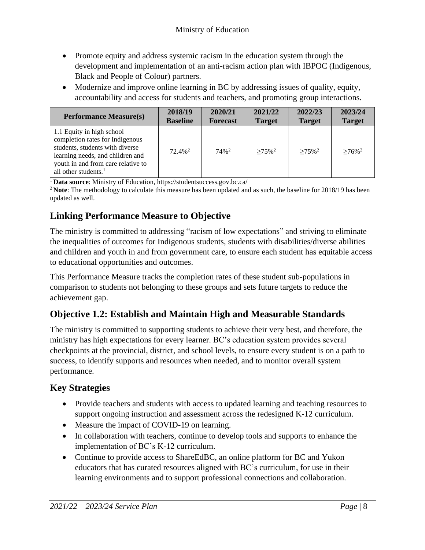- Promote equity and address systemic racism in the education system through the development and implementation of an anti-racism action plan with IBPOC (Indigenous, Black and People of Colour) partners.
- Modernize and improve online learning in BC by addressing issues of quality, equity, accountability and access for students and teachers, and promoting group interactions.

| <b>Performance Measure(s)</b>                                                                                                                                                                        | 2018/19               | 2020/21             | 2021/22              | 2022/23              | 2023/24              |
|------------------------------------------------------------------------------------------------------------------------------------------------------------------------------------------------------|-----------------------|---------------------|----------------------|----------------------|----------------------|
|                                                                                                                                                                                                      | <b>Baseline</b>       | <b>Forecast</b>     | <b>Target</b>        | <b>Target</b>        | <b>Target</b>        |
| 1.1 Equity in high school<br>completion rates for Indigenous<br>students, students with diverse<br>learning needs, and children and<br>youth in and from care relative to<br>all other students. $1$ | $72.4\%$ <sup>2</sup> | $74\%$ <sup>2</sup> | $>75\%$ <sup>2</sup> | $>75\%$ <sup>2</sup> | $>76\%$ <sup>2</sup> |

<sup>1</sup> **Data source**: Ministry of Education,<https://studentsuccess.gov.bc.ca/>

<sup>2</sup> Note: The methodology to calculate this measure has been updated and as such, the baseline for 2018/19 has been updated as well.

## **Linking Performance Measure to Objective**

The ministry is committed to addressing "racism of low expectations" and striving to eliminate the inequalities of outcomes for Indigenous students, students with disabilities/diverse abilities and children and youth in and from government care, to ensure each student has equitable access to educational opportunities and outcomes.

This Performance Measure tracks the completion rates of these student sub-populations in comparison to students not belonging to these groups and sets future targets to reduce the achievement gap.

# **Objective 1.2: Establish and Maintain High and Measurable Standards**

The ministry is committed to supporting students to achieve their very best, and therefore, the ministry has high expectations for every learner. BC's education system provides several checkpoints at the provincial, district, and school levels, to ensure every student is on a path to success, to identify supports and resources when needed, and to monitor overall system performance.

# **Key Strategies**

- Provide teachers and students with access to updated learning and teaching resources to support ongoing instruction and assessment across the redesigned K-12 curriculum.
- Measure the impact of COVID-19 on learning.
- In collaboration with teachers, continue to develop tools and supports to enhance the implementation of BC's K-12 curriculum.
- Continue to provide access to ShareEdBC, an online platform for BC and Yukon educators that has curated resources aligned with BC's curriculum, for use in their learning environments and to support professional connections and collaboration.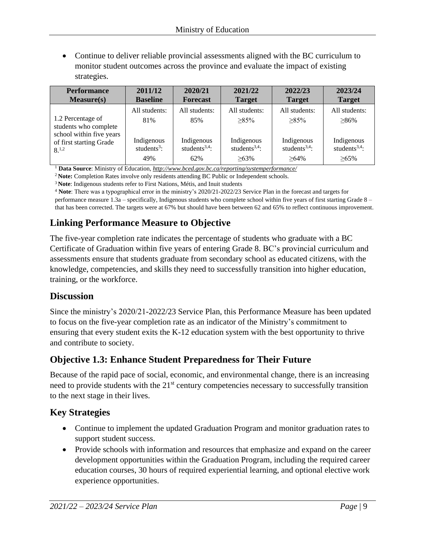• Continue to deliver reliable provincial assessments aligned with the BC curriculum to monitor student outcomes across the province and evaluate the impact of existing strategies.

| <b>Performance</b>                                                     | 2011/12                               | 2020/21                                 | 2021/22                                 | 2022/23                                 | 2023/24                                 |
|------------------------------------------------------------------------|---------------------------------------|-----------------------------------------|-----------------------------------------|-----------------------------------------|-----------------------------------------|
| Measure(s)                                                             | <b>Baseline</b>                       | <b>Forecast</b>                         | <b>Target</b>                           | <b>Target</b>                           | <b>Target</b>                           |
|                                                                        | All students:                         | All students:                           | All students:                           | All students:                           | All students:                           |
| 1.2 Percentage of<br>students who complete<br>school within five years | 81%                                   | 85%                                     | $>85\%$                                 | $>85\%$                                 | $>86\%$                                 |
| of first starting Grade<br>$8^{1,2}$                                   | Indigenous<br>students <sup>3</sup> : | Indigenous<br>students <sup>3,4</sup> : | Indigenous<br>students <sup>3,4</sup> : | Indigenous<br>students <sup>3,4</sup> : | Indigenous<br>students <sup>3,4</sup> : |
|                                                                        | 49%                                   | 62%                                     | $>63\%$                                 | $>64\%$                                 | $>65\%$                                 |

<sup>1</sup> **Data Source**: Ministry of Education, *<http://www.bced.gov.bc.ca/reporting/systemperformance/>*

<sup>2</sup> **Note:** Completion Rates involve only residents attending BC Public or Independent schools.

<sup>3</sup>**Note**: Indigenous students refer to First Nations, Métis, and Inuit students

<sup>4</sup> **Note**: There was a typographical error in the ministry's 2020/21-2022/23 Service Plan in the forecast and targets for performance measure 1.3a – specifically, Indigenous students who complete school within five years of first starting Grade 8 – that has been corrected. The targets were at 67% but should have been between 62 and 65% to reflect continuous improvement.

# **Linking Performance Measure to Objective**

The five-year completion rate indicates the percentage of students who graduate with a BC Certificate of Graduation within five years of entering Grade 8. BC's provincial curriculum and assessments ensure that students graduate from secondary school as educated citizens, with the knowledge, competencies, and skills they need to successfully transition into higher education, training, or the workforce.

#### **Discussion**

Since the ministry's 2020/21-2022/23 Service Plan, this Performance Measure has been updated to focus on the five-year completion rate as an indicator of the Ministry's commitment to ensuring that every student exits the K-12 education system with the best opportunity to thrive and contribute to society.

## **Objective 1.3: Enhance Student Preparedness for Their Future**

Because of the rapid pace of social, economic, and environmental change, there is an increasing need to provide students with the 21<sup>st</sup> century competencies necessary to successfully transition to the next stage in their lives.

## **Key Strategies**

- Continue to implement the updated Graduation Program and monitor graduation rates to support student success.
- Provide schools with information and resources that emphasize and expand on the career development opportunities within the Graduation Program, including the required career education courses, 30 hours of required experiential learning, and optional elective work experience opportunities.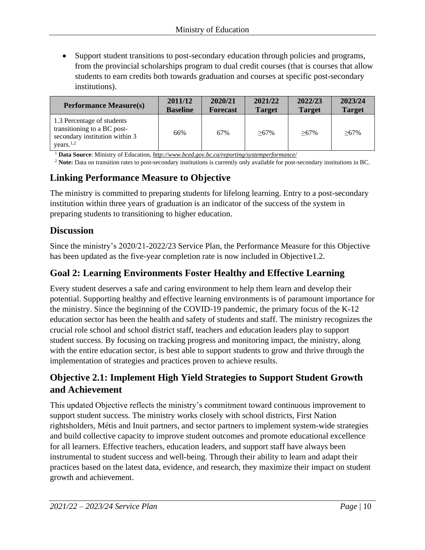• Support student transitions to post-secondary education through policies and programs, from the provincial scholarships program to dual credit courses (that is courses that allow students to earn credits both towards graduation and courses at specific post-secondary institutions).

| <b>Performance Measure(s)</b>                                                                                        | 2011/12         | 2020/21         | 2021/22       | 2022/23       | 2023/24       |
|----------------------------------------------------------------------------------------------------------------------|-----------------|-----------------|---------------|---------------|---------------|
|                                                                                                                      | <b>Baseline</b> | <b>Forecast</b> | <b>Target</b> | <b>Target</b> | <b>Target</b> |
| 1.3 Percentage of students<br>transitioning to a BC post-<br>secondary institution within 3<br>years. <sup>1,2</sup> | 66%             | 67%             | $>67\%$       | $>67\%$       | $>67\%$       |

<sup>1</sup> **Data Source**: Ministry of Education, *<http://www.bced.gov.bc.ca/reporting/systemperformance/>*

<sup>2</sup> **Note:** Data on transition rates to post-secondary institutions is currently only available for post-secondary institutions in BC.

## **Linking Performance Measure to Objective**

The ministry is committed to preparing students for lifelong learning. Entry to a post-secondary institution within three years of graduation is an indicator of the success of the system in preparing students to transitioning to higher education.

#### **Discussion**

Since the ministry's 2020/21-2022/23 Service Plan, the Performance Measure for this Objective has been updated as the five-year completion rate is now included in Objective1.2.

#### **Goal 2: Learning Environments Foster Healthy and Effective Learning**

Every student deserves a safe and caring environment to help them learn and develop their potential. Supporting healthy and effective learning environments is of paramount importance for the ministry. Since the beginning of the COVID-19 pandemic, the primary focus of the K-12 education sector has been the health and safety of students and staff. The ministry recognizes the crucial role school and school district staff, teachers and education leaders play to support student success. By focusing on tracking progress and monitoring impact, the ministry, along with the entire education sector, is best able to support students to grow and thrive through the implementation of strategies and practices proven to achieve results.

# **Objective 2.1: Implement High Yield Strategies to Support Student Growth and Achievement**

This updated Objective reflects the ministry's commitment toward continuous improvement to support student success. The ministry works closely with school districts, First Nation rightsholders, Métis and Inuit partners, and sector partners to implement system-wide strategies and build collective capacity to improve student outcomes and promote educational excellence for all learners. Effective teachers, education leaders, and support staff have always been instrumental to student success and well-being. Through their ability to learn and adapt their practices based on the latest data, evidence, and research, they maximize their impact on student growth and achievement.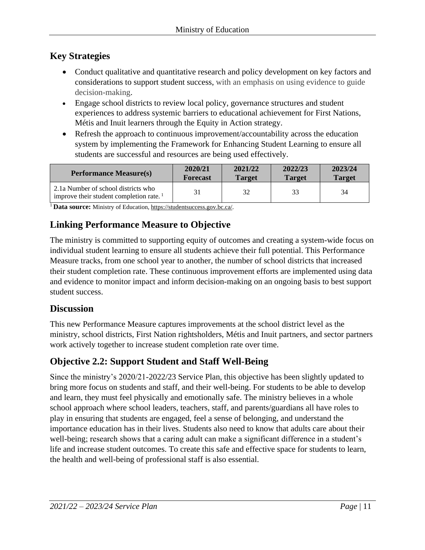# **Key Strategies**

- Conduct qualitative and quantitative research and policy development on key factors and considerations to support student success, with an emphasis on using evidence to guide decision-making.
- Engage school districts to review local policy, governance structures and student experiences to address systemic barriers to educational achievement for First Nations, Métis and Inuit learners through the Equity in Action strategy.
- Refresh the approach to continuous improvement/accountability across the education system by implementing the Framework for Enhancing Student Learning to ensure all students are successful and resources are being used effectively.

| <b>Performance Measure(s)</b>                                                              | 2020/21         | 2021/22       | 2022/23       | 2023/24       |
|--------------------------------------------------------------------------------------------|-----------------|---------------|---------------|---------------|
|                                                                                            | <b>Forecast</b> | <b>Target</b> | <b>Target</b> | <b>Target</b> |
| 2.1a Number of school districts who<br>improve their student completion rate. <sup>1</sup> | 31              | 32            | 33            | 34            |

<sup>1</sup>**Data source:** Ministry of Educatio[n, https://studentsuccess.gov.bc.ca/.](https://studentsuccess.gov.bc.ca/)

# **Linking Performance Measure to Objective**

The ministry is committed to supporting equity of outcomes and creating a system-wide focus on individual student learning to ensure all students achieve their full potential. This Performance Measure tracks, from one school year to another, the number of school districts that increased their student completion rate. These continuous improvement efforts are implemented using data and evidence to monitor impact and inform decision-making on an ongoing basis to best support student success.

## **Discussion**

This new Performance Measure captures improvements at the school district level as the ministry, school districts, First Nation rightsholders, Métis and Inuit partners, and sector partners work actively together to increase student completion rate over time.

# **Objective 2.2: Support Student and Staff Well-Being**

Since the ministry's 2020/21-2022/23 Service Plan, this objective has been slightly updated to bring more focus on students and staff, and their well-being. For students to be able to develop and learn, they must feel physically and emotionally safe. The ministry believes in a whole school approach where school leaders, teachers, staff, and parents/guardians all have roles to play in ensuring that students are engaged, feel a sense of belonging, and understand the importance education has in their lives. Students also need to know that adults care about their well-being; research shows that a caring adult can make a significant difference in a student's life and increase student outcomes. To create this safe and effective space for students to learn, the health and well-being of professional staff is also essential.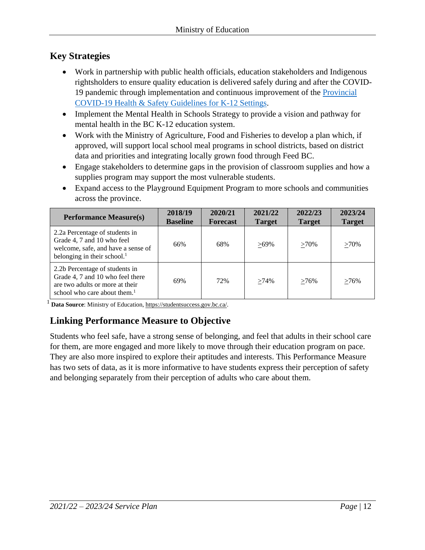# **Key Strategies**

- Work in partnership with public health officials, education stakeholders and Indigenous rightsholders to ensure quality education is delivered safely during and after the COVID-19 pandemic through implementation and continuous improvement of the [Provincial](https://www2.gov.bc.ca/assets/gov/education/administration/kindergarten-to-grade-12/safe-caring-orderly/k-12-covid-19-health-safety-guidlines.pdf) [COVID-19 Health & Safety Guidelines for K-12 Settings.](https://www2.gov.bc.ca/assets/gov/education/administration/kindergarten-to-grade-12/safe-caring-orderly/k-12-covid-19-health-safety-guidlines.pdf)
- Implement the Mental Health in Schools Strategy to provide a vision and pathway for mental health in the BC K-12 education system.
- Work with the Ministry of Agriculture, Food and Fisheries to develop a plan which, if approved, will support local school meal programs in school districts, based on district data and priorities and integrating locally grown food through Feed BC.
- Engage stakeholders to determine gaps in the provision of classroom supplies and how a supplies program may support the most vulnerable students.
- Expand access to the Playground Equipment Program to more schools and communities across the province.

| <b>Performance Measure(s)</b>                                                                                                            | 2018/19<br><b>Baseline</b> | 2020/21<br><b>Forecast</b> | 2021/22<br><b>Target</b> | 2022/23<br><b>Target</b> | 2023/24<br><b>Target</b> |
|------------------------------------------------------------------------------------------------------------------------------------------|----------------------------|----------------------------|--------------------------|--------------------------|--------------------------|
| 2.2a Percentage of students in<br>Grade 4, 7 and 10 who feel<br>welcome, safe, and have a sense of<br>belonging in their school. $1$     | 66%                        | 68%                        | $>69\%$                  | $>70\%$                  | $>70\%$                  |
| 2.2b Percentage of students in<br>Grade 4, 7 and 10 who feel there<br>are two adults or more at their<br>school who care about them. $1$ | 69%                        | 72%                        | $>74\%$                  | $>76\%$                  | $>76\%$                  |

<sup>1</sup> **Data Source**: Ministry of Educatio[n, https://studentsuccess.gov.bc.ca/.](https://studentsuccess.gov.bc.ca/)

# **Linking Performance Measure to Objective**

Students who feel safe, have a strong sense of belonging, and feel that adults in their school care for them, are more engaged and more likely to move through their education program on pace. They are also more inspired to explore their aptitudes and interests. This Performance Measure has two sets of data, as it is more informative to have students express their perception of safety and belonging separately from their perception of adults who care about them.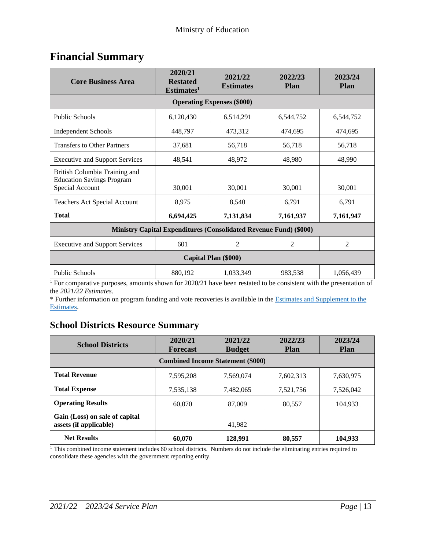# <span id="page-12-0"></span>**Financial Summary**

| <b>Core Business Area</b>                                                            | 2020/21<br><b>Restated</b><br>Estimates <sup>1</sup> | 2021/22<br><b>Estimates</b> | 2022/23<br><b>Plan</b> | 2023/24<br><b>Plan</b> |  |  |  |  |
|--------------------------------------------------------------------------------------|------------------------------------------------------|-----------------------------|------------------------|------------------------|--|--|--|--|
| <b>Operating Expenses (\$000)</b>                                                    |                                                      |                             |                        |                        |  |  |  |  |
| <b>Public Schools</b>                                                                | 6,120,430                                            | 6,514,291                   | 6,544,752              | 6,544,752              |  |  |  |  |
| <b>Independent Schools</b>                                                           | 448,797                                              | 473,312                     | 474,695                | 474,695                |  |  |  |  |
| <b>Transfers to Other Partners</b>                                                   | 37,681                                               | 56,718                      | 56,718                 | 56,718                 |  |  |  |  |
| <b>Executive and Support Services</b>                                                | 48,541                                               | 48,972                      | 48,980                 | 48,990                 |  |  |  |  |
| British Columbia Training and<br><b>Education Savings Program</b><br>Special Account | 30,001                                               | 30,001                      | 30,001                 | 30,001                 |  |  |  |  |
| <b>Teachers Act Special Account</b>                                                  | 8,975                                                | 8,540                       | 6,791                  | 6,791                  |  |  |  |  |
| <b>Total</b>                                                                         | 6,694,425                                            | 7,131,834                   | 7,161,937              | 7,161,947              |  |  |  |  |
| <b>Ministry Capital Expenditures (Consolidated Revenue Fund) (\$000)</b>             |                                                      |                             |                        |                        |  |  |  |  |
| <b>Executive and Support Services</b>                                                | 601                                                  | $\overline{2}$              | 2                      | $\overline{2}$         |  |  |  |  |
| Capital Plan (\$000)                                                                 |                                                      |                             |                        |                        |  |  |  |  |
| <b>Public Schools</b>                                                                | 880,192                                              | 1,033,349                   | 983,538                | 1,056,439              |  |  |  |  |

<sup>1</sup> For comparative purposes, amounts shown for 2020/21 have been restated to be consistent with the presentation of the *2021/22 Estimates*.

\* Further information on program funding and vote recoveries is available in th[e Estimates and Supplement to the](http://www.bcbudget.gov.bc.ca/) [Estimates.](http://www.bcbudget.gov.bc.ca/)

## **School Districts Resource Summary**

| <b>School Districts</b>                                  | 2020/21<br><b>Forecast</b> | 2021/22<br><b>Budget</b> | 2022/23<br><b>Plan</b> | 2023/24<br><b>Plan</b> |  |  |  |  |
|----------------------------------------------------------|----------------------------|--------------------------|------------------------|------------------------|--|--|--|--|
| <b>Combined Income Statement (\$000)</b>                 |                            |                          |                        |                        |  |  |  |  |
| <b>Total Revenue</b>                                     | 7,595,208                  | 7,569,074                | 7,602,313              | 7,630,975              |  |  |  |  |
| <b>Total Expense</b>                                     | 7,535,138                  | 7,482,065                | 7,521,756              | 7,526,042              |  |  |  |  |
| <b>Operating Results</b>                                 | 60,070                     | 87,009                   | 80,557                 | 104,933                |  |  |  |  |
| Gain (Loss) on sale of capital<br>assets (if applicable) |                            | 41.982                   |                        |                        |  |  |  |  |
| <b>Net Results</b>                                       | 60,070                     | 128,991                  | 80,557                 | 104,933                |  |  |  |  |

 $1$  This combined income statement includes 60 school districts. Numbers do not include the eliminating entries required to consolidate these agencies with the government reporting entity.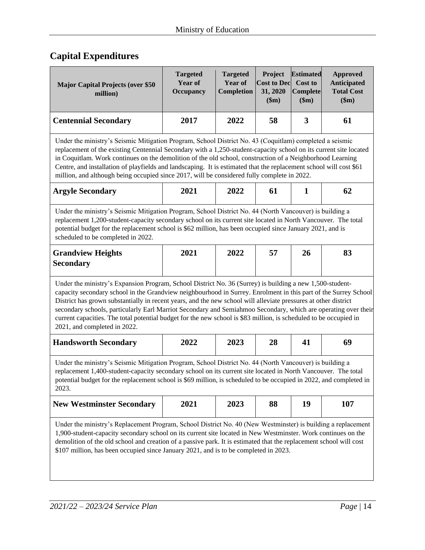# **Capital Expenditures**

| <b>Major Capital Projects (over \$50</b><br>million)                                                                                                                                                                                                                                                                                                                                                                                                                                                                                                                                                                  | <b>Targeted</b><br><b>Year of</b><br>Occupancy | <b>Targeted</b><br><b>Year of</b><br>Completion | Project<br><b>Cost to Dec</b><br>31, 2020<br>\$m\$ | <b>Estimated</b><br>Cost to<br>Complete<br>\$m\$ | <b>Approved</b><br><b>Anticipated</b><br><b>Total Cost</b><br>\$m\$ |  |
|-----------------------------------------------------------------------------------------------------------------------------------------------------------------------------------------------------------------------------------------------------------------------------------------------------------------------------------------------------------------------------------------------------------------------------------------------------------------------------------------------------------------------------------------------------------------------------------------------------------------------|------------------------------------------------|-------------------------------------------------|----------------------------------------------------|--------------------------------------------------|---------------------------------------------------------------------|--|
| <b>Centennial Secondary</b>                                                                                                                                                                                                                                                                                                                                                                                                                                                                                                                                                                                           | 2017                                           | 2022                                            | 58                                                 | 3                                                | 61                                                                  |  |
| Under the ministry's Seismic Mitigation Program, School District No. 43 (Coquitlam) completed a seismic<br>replacement of the existing Centennial Secondary with a 1,250-student-capacity school on its current site located<br>in Coquitlam. Work continues on the demolition of the old school, construction of a Neighborhood Learning<br>Centre, and installation of playfields and landscaping. It is estimated that the replacement school will cost \$61<br>million, and although being occupied since 2017, will be considered fully complete in 2022.                                                        |                                                |                                                 |                                                    |                                                  |                                                                     |  |
| <b>Argyle Secondary</b>                                                                                                                                                                                                                                                                                                                                                                                                                                                                                                                                                                                               | 2021                                           | 2022                                            | 61                                                 | $\mathbf{1}$                                     | 62                                                                  |  |
| Under the ministry's Seismic Mitigation Program, School District No. 44 (North Vancouver) is building a<br>replacement 1,200-student-capacity secondary school on its current site located in North Vancouver. The total<br>potential budget for the replacement school is \$62 million, has been occupied since January 2021, and is<br>scheduled to be completed in 2022.                                                                                                                                                                                                                                           |                                                |                                                 |                                                    |                                                  |                                                                     |  |
| <b>Grandview Heights</b><br><b>Secondary</b>                                                                                                                                                                                                                                                                                                                                                                                                                                                                                                                                                                          | 2021                                           | 2022                                            | 57                                                 | 26                                               | 83                                                                  |  |
| Under the ministry's Expansion Program, School District No. 36 (Surrey) is building a new 1,500-student-<br>capacity secondary school in the Grandview neighbourhood in Surrey. Enrolment in this part of the Surrey School<br>District has grown substantially in recent years, and the new school will alleviate pressures at other district<br>secondary schools, particularly Earl Marriot Secondary and Semiahmoo Secondary, which are operating over their<br>current capacities. The total potential budget for the new school is \$83 million, is scheduled to be occupied in<br>2021, and completed in 2022. |                                                |                                                 |                                                    |                                                  |                                                                     |  |
| <b>Handsworth Secondary</b>                                                                                                                                                                                                                                                                                                                                                                                                                                                                                                                                                                                           | 2022                                           | 2023                                            | 28                                                 | 41                                               | 69                                                                  |  |
| Under the ministry's Seismic Mitigation Program, School District No. 44 (North Vancouver) is building a<br>replacement 1,400-student-capacity secondary school on its current site located in North Vancouver. The total<br>potential budget for the replacement school is \$69 million, is scheduled to be occupied in 2022, and completed in<br>2023.                                                                                                                                                                                                                                                               |                                                |                                                 |                                                    |                                                  |                                                                     |  |
| <b>New Westminster Secondary</b>                                                                                                                                                                                                                                                                                                                                                                                                                                                                                                                                                                                      | 2021                                           | 2023                                            | 88                                                 | 19                                               | 107                                                                 |  |
| Under the ministry's Replacement Program, School District No. 40 (New Westminster) is building a replacement<br>1,900-student-capacity secondary school on its current site located in New Westminster. Work continues on the<br>demolition of the old school and creation of a passive park. It is estimated that the replacement school will cost<br>\$107 million, has been occupied since January 2021, and is to be completed in 2023.                                                                                                                                                                           |                                                |                                                 |                                                    |                                                  |                                                                     |  |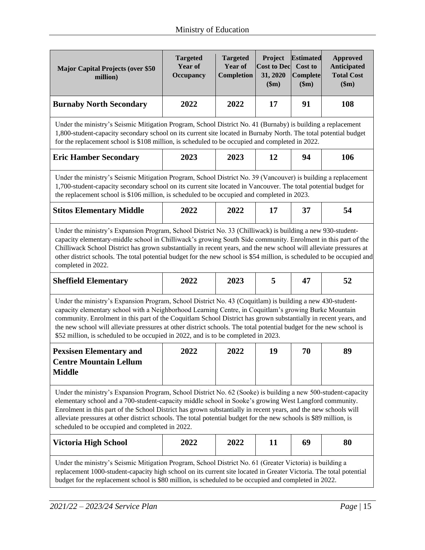| <b>Major Capital Projects (over \$50</b><br>million)                                                                                                                                                                                                                                                                                                                                                                                                                                                                                                              | <b>Targeted</b><br><b>Year of</b><br><b>Occupancy</b> | <b>Targeted</b><br>Year of<br>Completion | Project<br><b>Cost to Dec</b><br>31, 2020<br>\$m\$ | <b>Estimated</b><br><b>Cost to</b><br><b>Complete</b><br>\$m\$ | <b>Approved</b><br><b>Anticipated</b><br><b>Total Cost</b><br>\$m\$ |  |
|-------------------------------------------------------------------------------------------------------------------------------------------------------------------------------------------------------------------------------------------------------------------------------------------------------------------------------------------------------------------------------------------------------------------------------------------------------------------------------------------------------------------------------------------------------------------|-------------------------------------------------------|------------------------------------------|----------------------------------------------------|----------------------------------------------------------------|---------------------------------------------------------------------|--|
| <b>Burnaby North Secondary</b>                                                                                                                                                                                                                                                                                                                                                                                                                                                                                                                                    | 2022                                                  | 2022                                     | 17                                                 | 91                                                             | 108                                                                 |  |
| Under the ministry's Seismic Mitigation Program, School District No. 41 (Burnaby) is building a replacement<br>1,800-student-capacity secondary school on its current site located in Burnaby North. The total potential budget<br>for the replacement school is \$108 million, is scheduled to be occupied and completed in 2022.                                                                                                                                                                                                                                |                                                       |                                          |                                                    |                                                                |                                                                     |  |
| <b>Eric Hamber Secondary</b>                                                                                                                                                                                                                                                                                                                                                                                                                                                                                                                                      | 2023                                                  | 2023                                     | 12                                                 | 94                                                             | 106                                                                 |  |
| Under the ministry's Seismic Mitigation Program, School District No. 39 (Vancouver) is building a replacement<br>1,700-student-capacity secondary school on its current site located in Vancouver. The total potential budget for<br>the replacement school is \$106 million, is scheduled to be occupied and completed in 2023.                                                                                                                                                                                                                                  |                                                       |                                          |                                                    |                                                                |                                                                     |  |
| <b>Stitos Elementary Middle</b>                                                                                                                                                                                                                                                                                                                                                                                                                                                                                                                                   | 2022                                                  | 2022                                     | 17                                                 | 37                                                             | 54                                                                  |  |
| Under the ministry's Expansion Program, School District No. 33 (Chilliwack) is building a new 930-student-<br>capacity elementary-middle school in Chilliwack's growing South Side community. Enrolment in this part of the<br>Chilliwack School District has grown substantially in recent years, and the new school will alleviate pressures at<br>other district schools. The total potential budget for the new school is \$54 million, is scheduled to be occupied and<br>completed in 2022.<br>2023<br>5<br>2022<br>52<br>47<br><b>Sheffield Elementary</b> |                                                       |                                          |                                                    |                                                                |                                                                     |  |
| Under the ministry's Expansion Program, School District No. 43 (Coquitlam) is building a new 430-student-<br>capacity elementary school with a Neighborhood Learning Centre, in Coquitlam's growing Burke Mountain<br>community. Enrolment in this part of the Coquitlam School District has grown substantially in recent years, and<br>the new school will alleviate pressures at other district schools. The total potential budget for the new school is<br>\$52 million, is scheduled to be occupied in 2022, and is to be completed in 2023.                |                                                       |                                          |                                                    |                                                                |                                                                     |  |
| <b>Pexsisen Elementary and</b><br><b>Centre Mountain Lellum</b><br><b>Middle</b>                                                                                                                                                                                                                                                                                                                                                                                                                                                                                  | 2022                                                  | 2022                                     | 19                                                 | 70                                                             | 89                                                                  |  |
| Under the ministry's Expansion Program, School District No. 62 (Sooke) is building a new 500-student-capacity<br>elementary school and a 700-student-capacity middle school in Sooke's growing West Langford community.<br>Enrolment in this part of the School District has grown substantially in recent years, and the new schools will<br>alleviate pressures at other district schools. The total potential budget for the new schools is \$89 million, is<br>scheduled to be occupied and completed in 2022.                                                |                                                       |                                          |                                                    |                                                                |                                                                     |  |
| Victoria High School                                                                                                                                                                                                                                                                                                                                                                                                                                                                                                                                              | 2022                                                  | 2022                                     | 11                                                 | 69                                                             | 80                                                                  |  |
| Under the ministry's Seismic Mitigation Program, School District No. 61 (Greater Victoria) is building a<br>replacement 1000-student-capacity high school on its current site located in Greater Victoria. The total potential<br>budget for the replacement school is \$80 million, is scheduled to be occupied and completed in 2022.                                                                                                                                                                                                                           |                                                       |                                          |                                                    |                                                                |                                                                     |  |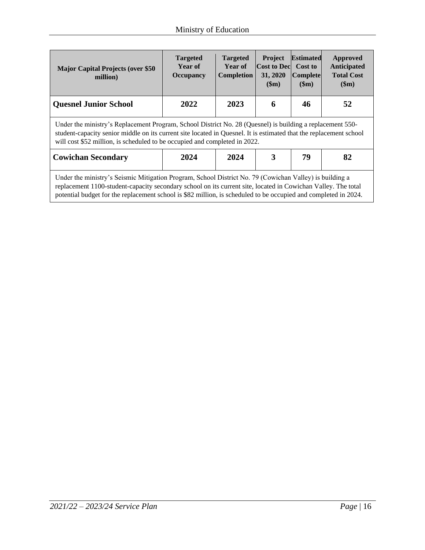| <b>Major Capital Projects (over \$50</b><br>million)                                                                                                                                                                                                                                                                                        | <b>Targeted</b><br>Year of<br><b>Occupancy</b> | <b>Targeted</b><br>Year of<br><b>Completion</b> | <b>Project</b><br><b>Cost to Dec</b><br>31, 2020<br>\$m) | <b>Estimated</b><br>Cost to<br><b>Complete</b><br>\$m\$ | Approved<br>Anticipated<br><b>Total Cost</b><br>\$m\$ |  |
|---------------------------------------------------------------------------------------------------------------------------------------------------------------------------------------------------------------------------------------------------------------------------------------------------------------------------------------------|------------------------------------------------|-------------------------------------------------|----------------------------------------------------------|---------------------------------------------------------|-------------------------------------------------------|--|
| <b>Quesnel Junior School</b>                                                                                                                                                                                                                                                                                                                | 2022                                           | 2023                                            | 6                                                        | 46                                                      | 52                                                    |  |
| Under the ministry's Replacement Program, School District No. 28 (Quesnel) is building a replacement 550-<br>student-capacity senior middle on its current site located in Quesnel. It is estimated that the replacement school<br>will cost \$52 million, is scheduled to be occupied and completed in 2022.                               |                                                |                                                 |                                                          |                                                         |                                                       |  |
| <b>Cowichan Secondary</b>                                                                                                                                                                                                                                                                                                                   | 2024                                           | 2024                                            | 3                                                        | 79                                                      | 82                                                    |  |
| Under the ministry's Seismic Mitigation Program, School District No. 79 (Cowichan Valley) is building a<br>replacement 1100-student-capacity secondary school on its current site, located in Cowichan Valley. The total<br>potential budget for the replacement school is \$82 million, is scheduled to be occupied and completed in 2024. |                                                |                                                 |                                                          |                                                         |                                                       |  |